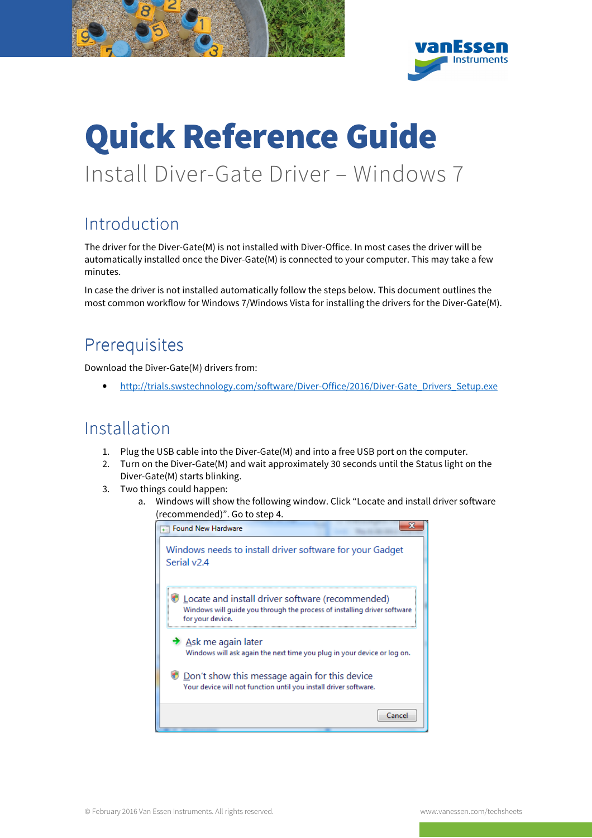

## Quick Reference Guide Install Diver-Gate Driver – Windows 7

## Introduction

The driver for the Diver-Gate(M) is not installed with Diver-Office. In most cases the driver will be automatically installed once the Diver-Gate(M) is connected to your computer. This may take a few minutes.

In case the driver is not installed automatically follow the steps below. This document outlines the most common workflow for Windows 7/Windows Vista for installing the drivers for the Diver-Gate(M).

## **Prerequisites**

Download the Diver-Gate(M) drivers from:

• http://trials.swstechnology.com/software/Diver-Office/2016/Diver-Gate\_Drivers\_Setup.exe

## Installation

- 1. Plug the USB cable into the Diver-Gate(M) and into a free USB port on the computer.
- 2. Turn on the Diver-Gate(M) and wait approximately 30 seconds until the Status light on the Diver-Gate(M) starts blinking.
- 3. Two things could happen:
	- a. Windows will show the following window. Click "Locate and install driver software (recommended)". Go to step 4.

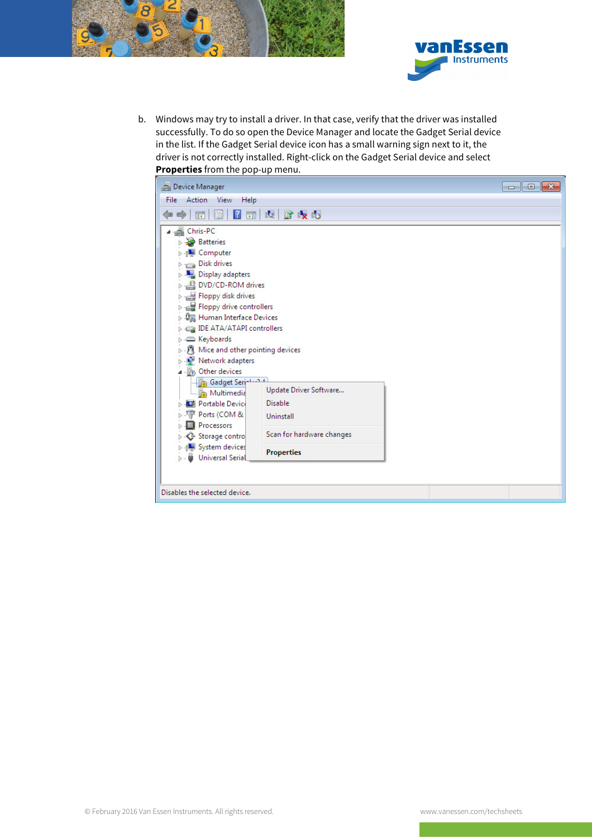



b. Windows may try to install a driver. In that case, verify that the driver was installed successfully. To do so open the Device Manager and locate the Gadget Serial device in the list. If the Gadget Serial device icon has a small warning sign next to it, the driver is not correctly installed. Right-click on the Gadget Serial device and select **Properties** from the pop-up menu.

| Device Manager                           |                           | $-x$<br><del>- - - - -</del> |
|------------------------------------------|---------------------------|------------------------------|
| File Action View<br>Help                 |                           |                              |
| $\Rightarrow$<br>屙<br>⇔<br>E             | 2 司 贞 峰 岐 岐               |                              |
| ⊿ __ Chris-PC                            |                           |                              |
| <b>Batteries</b>                         |                           |                              |
| <b>Computer</b>                          |                           |                              |
| Disk drives                              |                           |                              |
| Display adapters                         |                           |                              |
| DVD/CD-ROM drives                        |                           |                              |
| Floppy disk drives                       |                           |                              |
| <b>D</b> Eloppy drive controllers        |                           |                              |
| ▷ -‱ Human Interface Devices             |                           |                              |
| DE ATA/ATAPI controllers                 |                           |                              |
| <b>Explorer</b> Keyboards                |                           |                              |
| Mice and other pointing devices          |                           |                              |
| Network adapters                         |                           |                              |
| Other devices                            |                           |                              |
| <b>Gadget Series Added</b><br>Multimedia | Update Driver Software    |                              |
| <b>D</b> Portable Device                 | <b>Disable</b>            |                              |
| Ports (COM &                             | Uninstall                 |                              |
| Processors                               |                           |                              |
| Storage contro                           | Scan for hardware changes |                              |
| <b>System devices</b>                    | <b>Properties</b>         |                              |
| Universal Serial                         |                           |                              |
|                                          |                           |                              |
|                                          |                           |                              |
| Disables the selected device.            |                           |                              |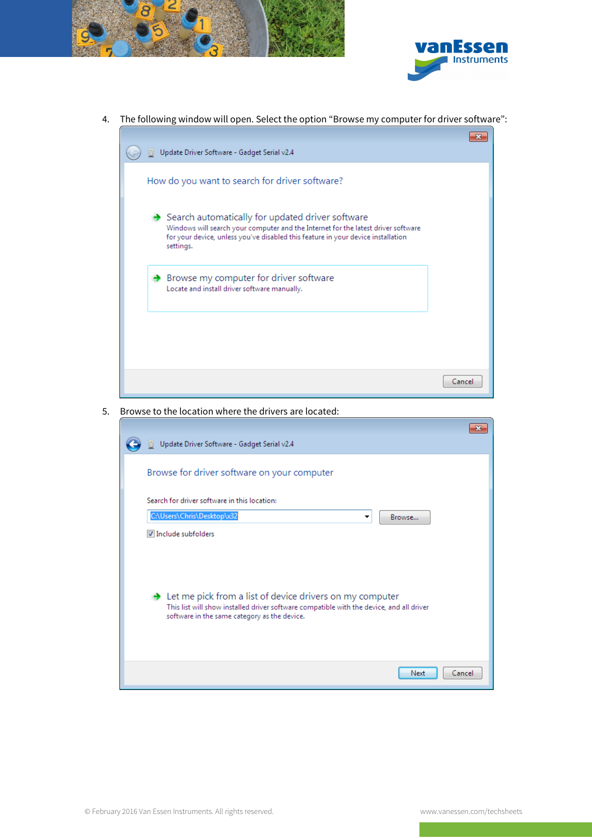



4. The following window will open. Select the option "Browse my computer for driver software":



5. Browse to the location where the drivers are located:

|                                                                                                                                                                                                                    | 23 |
|--------------------------------------------------------------------------------------------------------------------------------------------------------------------------------------------------------------------|----|
| Update Driver Software - Gadget Serial v2.4                                                                                                                                                                        |    |
| Browse for driver software on your computer                                                                                                                                                                        |    |
| Search for driver software in this location:                                                                                                                                                                       |    |
| C:\Users\Chris\Desktop\x32<br>Browse<br>▼                                                                                                                                                                          |    |
| Include subfolders                                                                                                                                                                                                 |    |
| $\rightarrow$ Let me pick from a list of device drivers on my computer<br>This list will show installed driver software compatible with the device, and all driver<br>software in the same category as the device. |    |
| Cancel<br>Next                                                                                                                                                                                                     |    |